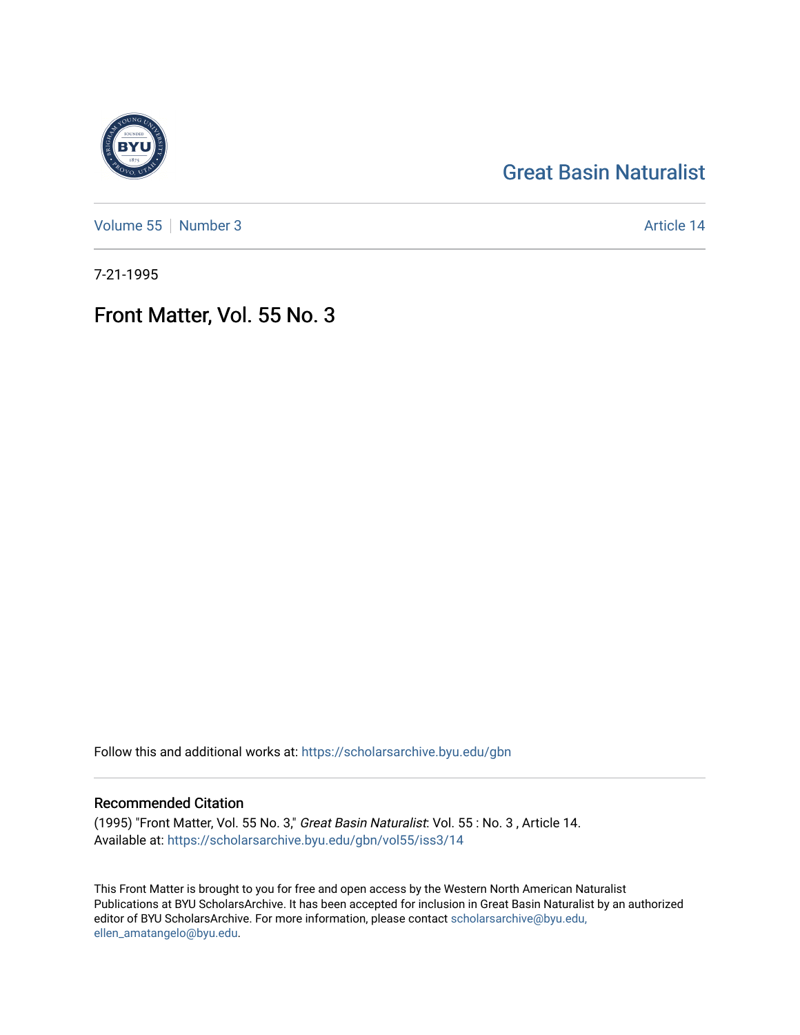# [Great Basin Naturalist](https://scholarsarchive.byu.edu/gbn)

[Volume 55](https://scholarsarchive.byu.edu/gbn/vol55) [Number 3](https://scholarsarchive.byu.edu/gbn/vol55/iss3) Article 14

7-21-1995

# Front Matter, Vol. 55 No. 3

Follow this and additional works at: [https://scholarsarchive.byu.edu/gbn](https://scholarsarchive.byu.edu/gbn?utm_source=scholarsarchive.byu.edu%2Fgbn%2Fvol55%2Fiss3%2F14&utm_medium=PDF&utm_campaign=PDFCoverPages) 

## Recommended Citation

(1995) "Front Matter, Vol. 55 No. 3," Great Basin Naturalist: Vol. 55 : No. 3 , Article 14. Available at: [https://scholarsarchive.byu.edu/gbn/vol55/iss3/14](https://scholarsarchive.byu.edu/gbn/vol55/iss3/14?utm_source=scholarsarchive.byu.edu%2Fgbn%2Fvol55%2Fiss3%2F14&utm_medium=PDF&utm_campaign=PDFCoverPages) 

This Front Matter is brought to you for free and open access by the Western North American Naturalist Publications at BYU ScholarsArchive. It has been accepted for inclusion in Great Basin Naturalist by an authorized editor of BYU ScholarsArchive. For more information, please contact [scholarsarchive@byu.edu,](mailto:scholarsarchive@byu.edu,%20ellen_amatangelo@byu.edu) [ellen\\_amatangelo@byu.edu](mailto:scholarsarchive@byu.edu,%20ellen_amatangelo@byu.edu).

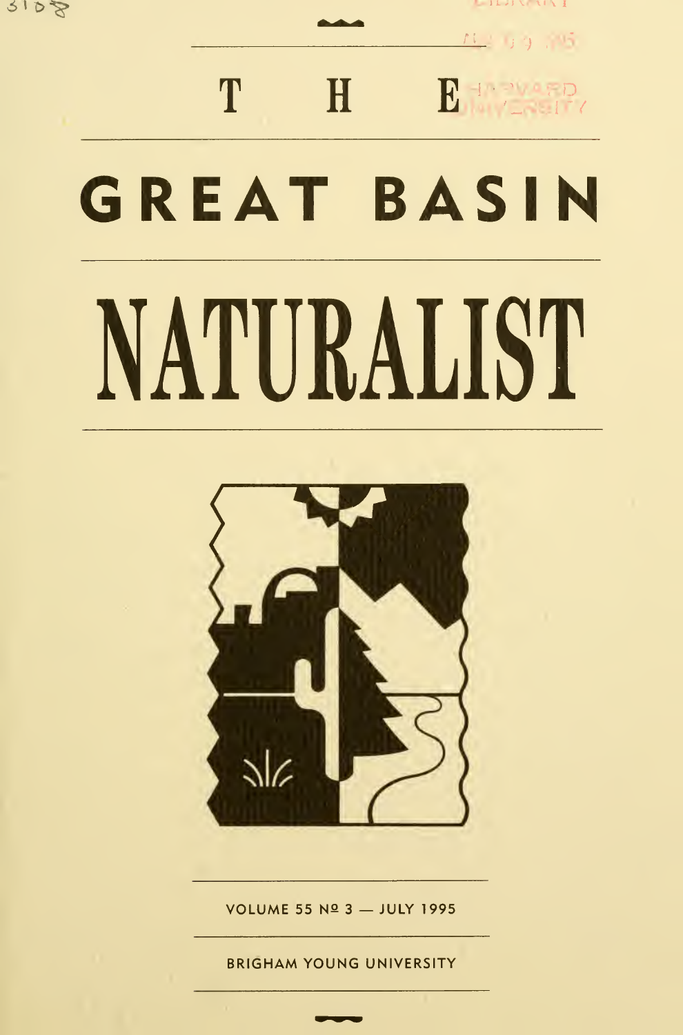$9108$ 

 $1.7111111$  $1 - 13 - 5$ 

 $H$   $B + 2$   $D$ 

# GREAT BASIN

T

# NATURALIST



VOLUME 55 Nº 3 - JULY 1995

BRIGHAM YOUNG UNIVERSITY